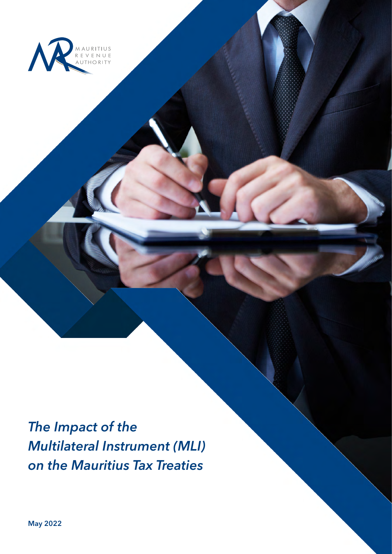

*The Impact of the Multilateral Instrument (MLI) on the Mauritius Tax Treaties*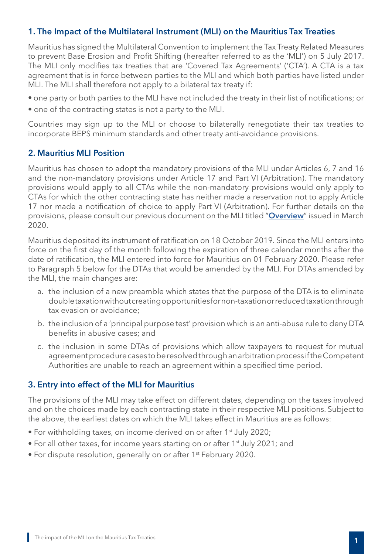## 1. The Impact of the Multilateral Instrument (MLI) on the Mauritius Tax Treaties

Mauritius has signed the Multilateral Convention to implement the Tax Treaty Related Measures to prevent Base Erosion and Profit Shifting (hereafter referred to as the 'MLI') on 5 July 2017. The MLI only modifies tax treaties that are 'Covered Tax Agreements' ('CTA'). A CTA is a tax agreement that is in force between parties to the MLI and which both parties have listed under MLI. The MLI shall therefore not apply to a bilateral tax treaty if:

- one party or both parties to the MLI have not included the treaty in their list of notifications; or
- one of the contracting states is not a party to the MLI.

Countries may sign up to the MLI or choose to bilaterally renegotiate their tax treaties to incorporate BEPS minimum standards and other treaty anti-avoidance provisions.

## 2. Mauritius MLI Position

Mauritius has chosen to adopt the mandatory provisions of the MLI under Articles 6, 7 and 16 and the non-mandatory provisions under Article 17 and Part VI (Arbitration). The mandatory provisions would apply to all CTAs while the non-mandatory provisions would only apply to CTAs for which the other contracting state has neither made a reservation not to apply Article 17 nor made a notification of choice to apply Part VI (Arbitration). For further details on the provisions, please consult our previous document on the MLI titled "[Overview](https://www.mra.mu/download/MLI.pdf)" issued in March 2020.

Mauritius deposited its instrument of ratification on 18 October 2019. Since the MLI enters into force on the first day of the month following the expiration of three calendar months after the date of ratification, the MLI entered into force for Mauritius on 01 February 2020. Please refer to Paragraph 5 below for the DTAs that would be amended by the MLI. For DTAs amended by the MLI, the main changes are:

- a. the inclusion of a new preamble which states that the purpose of the DTA is to eliminate double taxation without creating opportunities for non-taxation or reduced taxation through tax evasion or avoidance;
- b. the inclusion of a 'principal purpose test' provision which is an anti-abuse rule to deny DTA benefits in abusive cases; and
- c. the inclusion in some DTAs of provisions which allow taxpayers to request for mutual agreement procedure cases to be resolved through an arbitration process if the Competent Authorities are unable to reach an agreement within a specified time period.

## 3. Entry into effect of the MLI for Mauritius

The provisions of the MLI may take effect on different dates, depending on the taxes involved and on the choices made by each contracting state in their respective MLI positions. Subject to the above, the earliest dates on which the MLI takes effect in Mauritius are as follows:

- For withholding taxes, on income derived on or after 1<sup>st</sup> July 2020;
- For all other taxes, for income years starting on or after 1<sup>st</sup> July 2021; and
- For dispute resolution, generally on or after 1<sup>st</sup> February 2020.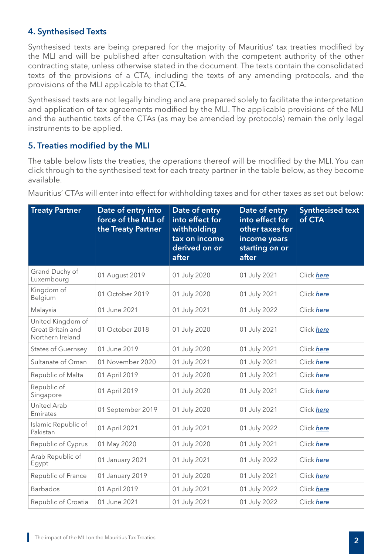# 4. Synthesised Texts

Synthesised texts are being prepared for the majority of Mauritius' tax treaties modified by the MLI and will be published after consultation with the competent authority of the other contracting state, unless otherwise stated in the document. The texts contain the consolidated texts of the provisions of a CTA, including the texts of any amending protocols, and the provisions of the MLI applicable to that CTA.

Synthesised texts are not legally binding and are prepared solely to facilitate the interpretation and application of tax agreements modified by the MLI. The applicable provisions of the MLI and the authentic texts of the CTAs (as may be amended by protocols) remain the only legal instruments to be applied.

## 5. Treaties modified by the MLI

The table below lists the treaties, the operations thereof will be modified by the MLI. You can click through to the synthesised text for each treaty partner in the table below, as they become available.

| <b>Treaty Partner</b>                                      | Date of entry into<br>force of the MLI of<br>the Treaty Partner | Date of entry<br>into effect for<br>withholding<br>tax on income<br>derived on or<br>after | Date of entry<br>into effect for<br>other taxes for<br>income years<br>starting on or<br>after | <b>Synthesised text</b><br>of CTA |
|------------------------------------------------------------|-----------------------------------------------------------------|--------------------------------------------------------------------------------------------|------------------------------------------------------------------------------------------------|-----------------------------------|
| Grand Duchy of<br>Luxembourg                               | 01 August 2019                                                  | 01 July 2020                                                                               | 01 July 2021                                                                                   | Click here                        |
| Kingdom of<br>Belgium                                      | 01 October 2019                                                 | 01 July 2020                                                                               | 01 July 2021                                                                                   | Click here                        |
| Malaysia                                                   | 01 June 2021                                                    | 01 July 2021                                                                               | 01 July 2022                                                                                   | Click here                        |
| United Kingdom of<br>Great Britain and<br>Northern Ireland | 01 October 2018                                                 | 01 July 2020                                                                               | 01 July 2021                                                                                   | Click here                        |
| <b>States of Guernsey</b>                                  | 01 June 2019                                                    | 01 July 2020                                                                               | 01 July 2021                                                                                   | Click here                        |
| Sultanate of Oman                                          | 01 November 2020                                                | 01 July 2021                                                                               | 01 July 2021                                                                                   | Click here                        |
| Republic of Malta                                          | 01 April 2019                                                   | 01 July 2020                                                                               | 01 July 2021                                                                                   | Click here                        |
| Republic of<br>Singapore                                   | 01 April 2019                                                   | 01 July 2020                                                                               | 01 July 2021                                                                                   | Click here                        |
| <b>United Arab</b><br>Emirates                             | 01 September 2019                                               | 01 July 2020                                                                               | 01 July 2021                                                                                   | Click here                        |
| Islamic Republic of<br>Pakistan                            | 01 April 2021                                                   | 01 July 2021                                                                               | 01 July 2022                                                                                   | Click here                        |
| Republic of Cyprus                                         | 01 May 2020                                                     | 01 July 2020                                                                               | 01 July 2021                                                                                   | Click here                        |
| Arab Republic of<br>Egypt                                  | 01 January 2021                                                 | 01 July 2021                                                                               | 01 July 2022                                                                                   | Click here                        |
| Republic of France                                         | 01 January 2019                                                 | 01 July 2020                                                                               | 01 July 2021                                                                                   | Click here                        |
| Barbados                                                   | 01 April 2019                                                   | 01 July 2021                                                                               | 01 July 2022                                                                                   | Click here                        |
| Republic of Croatia                                        | 01 June 2021                                                    | 01 July 2021                                                                               | 01 July 2022                                                                                   | Click here                        |

Mauritius' CTAs will enter into effect for withholding taxes and for other taxes as set out below: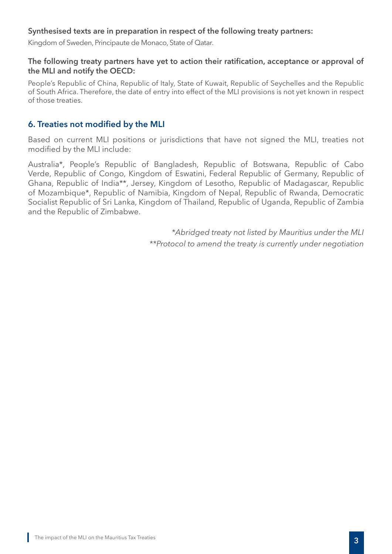#### Synthesised texts are in preparation in respect of the following treaty partners:

Kingdom of Sweden, Principaute de Monaco, State of Qatar.

#### The following treaty partners have yet to action their ratification, acceptance or approval of the MLI and notify the OECD:

People's Republic of China, Republic of Italy, State of Kuwait, Republic of Seychelles and the Republic of South Africa. Therefore, the date of entry into effect of the MLI provisions is not yet known in respect of those treaties.

## 6. Treaties not modified by the MLI

Based on current MLI positions or jurisdictions that have not signed the MLI, treaties not modified by the MLI include:

Australia\*, People's Republic of Bangladesh, Republic of Botswana, Republic of Cabo Verde, Republic of Congo, Kingdom of Eswatini, Federal Republic of Germany, Republic of Ghana, Republic of India\*\*, Jersey, Kingdom of Lesotho, Republic of Madagascar, Republic of Mozambique\*, Republic of Namibia, Kingdom of Nepal, Republic of Rwanda, Democratic Socialist Republic of Sri Lanka, Kingdom of Thailand, Republic of Uganda, Republic of Zambia and the Republic of Zimbabwe.

> *\*Abridged treaty not listed by Mauritius under the MLI \*\*Protocol to amend the treaty is currently under negotiation*